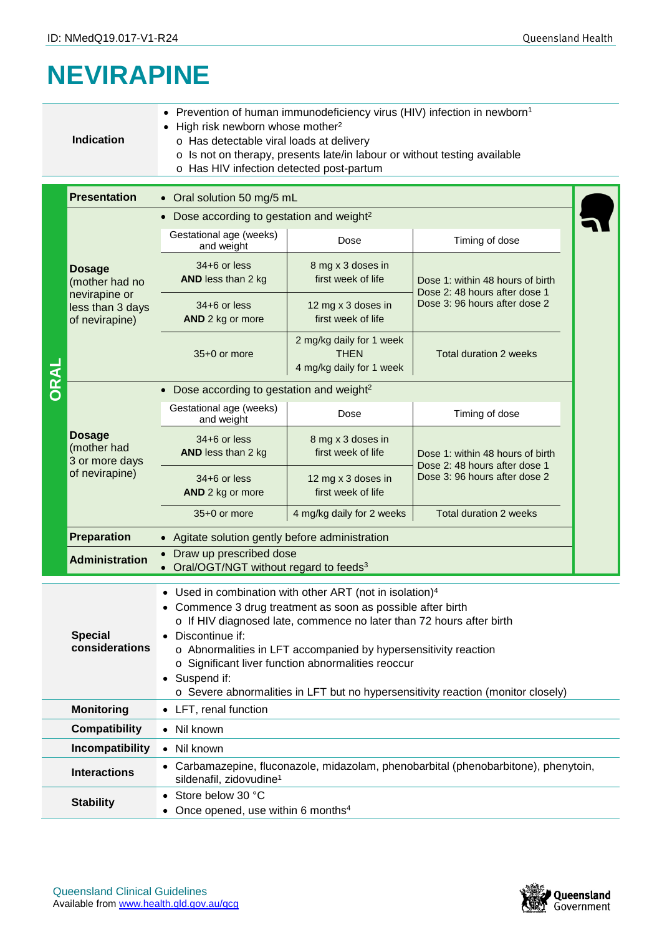## **NEVIRAPINE**

|      | <b>Indication</b>                                                                                                                                                                                                                                                                                                                                                                                                                                                                                         | Prevention of human immunodeficiency virus (HIV) infection in newborn <sup>1</sup><br>High risk newborn whose mother <sup>2</sup><br>o Has detectable viral loads at delivery<br>o Is not on therapy, presents late/in labour or without testing available<br>o Has HIV infection detected post-partum |                                                                     |                                                                                                    |  |  |  |  |  |
|------|-----------------------------------------------------------------------------------------------------------------------------------------------------------------------------------------------------------------------------------------------------------------------------------------------------------------------------------------------------------------------------------------------------------------------------------------------------------------------------------------------------------|--------------------------------------------------------------------------------------------------------------------------------------------------------------------------------------------------------------------------------------------------------------------------------------------------------|---------------------------------------------------------------------|----------------------------------------------------------------------------------------------------|--|--|--|--|--|
|      | <b>Presentation</b>                                                                                                                                                                                                                                                                                                                                                                                                                                                                                       | • Oral solution 50 mg/5 mL                                                                                                                                                                                                                                                                             |                                                                     |                                                                                                    |  |  |  |  |  |
|      |                                                                                                                                                                                                                                                                                                                                                                                                                                                                                                           | • Dose according to gestation and weight <sup>2</sup>                                                                                                                                                                                                                                                  |                                                                     |                                                                                                    |  |  |  |  |  |
| ORAL | <b>Dosage</b><br>(mother had no<br>nevirapine or<br>less than 3 days<br>of nevirapine)                                                                                                                                                                                                                                                                                                                                                                                                                    | Gestational age (weeks)<br>Timing of dose<br>Dose<br>and weight                                                                                                                                                                                                                                        |                                                                     |                                                                                                    |  |  |  |  |  |
|      |                                                                                                                                                                                                                                                                                                                                                                                                                                                                                                           | $34+6$ or less<br>AND less than 2 kg                                                                                                                                                                                                                                                                   | 8 mg x 3 doses in<br>first week of life                             | Dose 1: within 48 hours of birth<br>Dose 2: 48 hours after dose 1<br>Dose 3: 96 hours after dose 2 |  |  |  |  |  |
|      |                                                                                                                                                                                                                                                                                                                                                                                                                                                                                                           | $34+6$ or less<br>AND 2 kg or more                                                                                                                                                                                                                                                                     | 12 mg x 3 doses in<br>first week of life                            |                                                                                                    |  |  |  |  |  |
|      |                                                                                                                                                                                                                                                                                                                                                                                                                                                                                                           | 35+0 or more                                                                                                                                                                                                                                                                                           | 2 mg/kg daily for 1 week<br><b>THEN</b><br>4 mg/kg daily for 1 week | Total duration 2 weeks                                                                             |  |  |  |  |  |
|      |                                                                                                                                                                                                                                                                                                                                                                                                                                                                                                           | • Dose according to gestation and weight <sup>2</sup>                                                                                                                                                                                                                                                  |                                                                     |                                                                                                    |  |  |  |  |  |
|      | <b>Dosage</b><br>(mother had<br>3 or more days<br>of nevirapine)                                                                                                                                                                                                                                                                                                                                                                                                                                          | Gestational age (weeks)<br>and weight                                                                                                                                                                                                                                                                  | Dose                                                                | Timing of dose                                                                                     |  |  |  |  |  |
|      |                                                                                                                                                                                                                                                                                                                                                                                                                                                                                                           | $34+6$ or less<br>AND less than 2 kg                                                                                                                                                                                                                                                                   | 8 mg x 3 doses in<br>first week of life                             | Dose 1: within 48 hours of birth<br>Dose 2: 48 hours after dose 1                                  |  |  |  |  |  |
|      |                                                                                                                                                                                                                                                                                                                                                                                                                                                                                                           | $34+6$ or less<br>AND 2 kg or more                                                                                                                                                                                                                                                                     | 12 mg x 3 doses in<br>first week of life                            | Dose 3: 96 hours after dose 2                                                                      |  |  |  |  |  |
|      |                                                                                                                                                                                                                                                                                                                                                                                                                                                                                                           | 35+0 or more                                                                                                                                                                                                                                                                                           | 4 mg/kg daily for 2 weeks                                           | <b>Total duration 2 weeks</b>                                                                      |  |  |  |  |  |
|      | <b>Preparation</b>                                                                                                                                                                                                                                                                                                                                                                                                                                                                                        | • Agitate solution gently before administration                                                                                                                                                                                                                                                        |                                                                     |                                                                                                    |  |  |  |  |  |
|      | Draw up prescribed dose<br><b>Administration</b><br>• Oral/OGT/NGT without regard to feeds <sup>3</sup>                                                                                                                                                                                                                                                                                                                                                                                                   |                                                                                                                                                                                                                                                                                                        |                                                                     |                                                                                                    |  |  |  |  |  |
|      | Used in combination with other ART (not in isolation) <sup>4</sup><br>• Commence 3 drug treatment as soon as possible after birth<br>o If HIV diagnosed late, commence no later than 72 hours after birth<br><b>Special</b><br>Discontinue if:<br>considerations<br>o Abnormalities in LFT accompanied by hypersensitivity reaction<br>o Significant liver function abnormalities reoccur<br>Suspend if:<br>$\bullet$<br>o Severe abnormalities in LFT but no hypersensitivity reaction (monitor closely) |                                                                                                                                                                                                                                                                                                        |                                                                     |                                                                                                    |  |  |  |  |  |
|      | <b>Monitoring</b>                                                                                                                                                                                                                                                                                                                                                                                                                                                                                         | • LFT, renal function                                                                                                                                                                                                                                                                                  |                                                                     |                                                                                                    |  |  |  |  |  |
|      | <b>Compatibility</b>                                                                                                                                                                                                                                                                                                                                                                                                                                                                                      | Nil known<br>$\bullet$                                                                                                                                                                                                                                                                                 |                                                                     |                                                                                                    |  |  |  |  |  |
|      | Incompatibility                                                                                                                                                                                                                                                                                                                                                                                                                                                                                           | Nil known<br>$\bullet$                                                                                                                                                                                                                                                                                 |                                                                     |                                                                                                    |  |  |  |  |  |
|      | <b>Interactions</b>                                                                                                                                                                                                                                                                                                                                                                                                                                                                                       | • Carbamazepine, fluconazole, midazolam, phenobarbital (phenobarbitone), phenytoin,<br>sildenafil, zidovudine <sup>1</sup>                                                                                                                                                                             |                                                                     |                                                                                                    |  |  |  |  |  |
|      | <b>Stability</b>                                                                                                                                                                                                                                                                                                                                                                                                                                                                                          | Store below 30 °C<br>$\bullet$<br>Once opened, use within 6 months <sup>4</sup>                                                                                                                                                                                                                        |                                                                     |                                                                                                    |  |  |  |  |  |